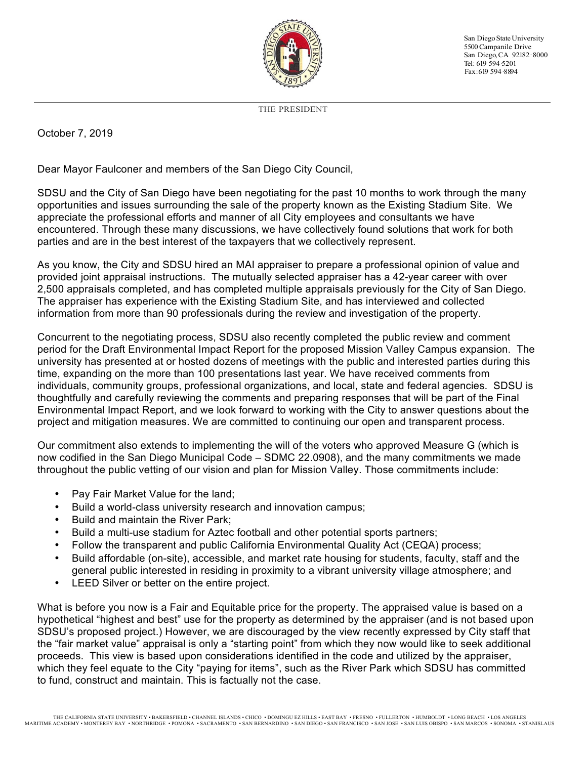

San Diego State University 5500Campanile Drive San Diego, CA 92182· 8000 Tel: 619 594 5201 Fax:619 594·8894

THE PRESIDENT

## October 7, 2019

Dear Mayor Faulconer and members of the San Diego City Council,

SDSU and the City of San Diego have been negotiating for the past 10 months to work through the many opportunities and issues surrounding the sale of the property known as the Existing Stadium Site. We appreciate the professional efforts and manner of all City employees and consultants we have encountered. Through these many discussions, we have collectively found solutions that work for both parties and are in the best interest of the taxpayers that we collectively represent.

As you know, the City and SDSU hired an MAI appraiser to prepare a professional opinion of value and provided joint appraisal instructions. The mutually selected appraiser has a 42-year career with over 2,500 appraisals completed, and has completed multiple appraisals previously for the City of San Diego. The appraiser has experience with the Existing Stadium Site, and has interviewed and collected information from more than 90 professionals during the review and investigation of the property.

Concurrent to the negotiating process, SDSU also recently completed the public review and comment period for the Draft Environmental Impact Report for the proposed Mission Valley Campus expansion. The university has presented at or hosted dozens of meetings with the public and interested parties during this time, expanding on the more than 100 presentations last year. We have received comments from individuals, community groups, professional organizations, and local, state and federal agencies. SDSU is thoughtfully and carefully reviewing the comments and preparing responses that will be part of the Final Environmental Impact Report, and we look forward to working with the City to answer questions about the project and mitigation measures. We are committed to continuing our open and transparent process.

Our commitment also extends to implementing the will of the voters who approved Measure G (which is now codified in the San Diego Municipal Code – SDMC 22.0908), and the many commitments we made throughout the public vetting of our vision and plan for Mission Valley. Those commitments include:

- Pay Fair Market Value for the land;
- Build a world-class university research and innovation campus;
- Build and maintain the River Park;
- Build a multi-use stadium for Aztec football and other potential sports partners;
- Follow the transparent and public California Environmental Quality Act (CEQA) process;
- Build affordable (on-site), accessible, and market rate housing for students, faculty, staff and the general public interested in residing in proximity to a vibrant university village atmosphere; and
- LEED Silver or better on the entire project.

What is before you now is a Fair and Equitable price for the property. The appraised value is based on a hypothetical "highest and best" use for the property as determined by the appraiser (and is not based upon SDSU's proposed project.) However, we are discouraged by the view recently expressed by City staff that the "fair market value" appraisal is only a "starting point" from which they now would like to seek additional proceeds. This view is based upon considerations identified in the code and utilized by the appraiser, which they feel equate to the City "paying for items", such as the River Park which SDSU has committed to fund, construct and maintain. This is factually not the case.